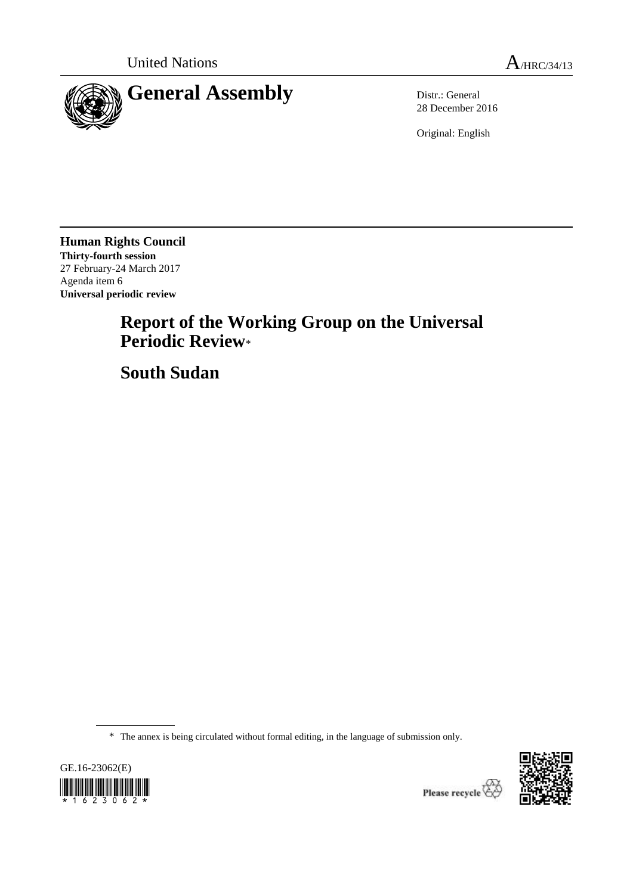

28 December 2016

Original: English

**Human Rights Council Thirty-fourth session** 27 February-24 March 2017 Agenda item 6 **Universal periodic review**

# **Report of the Working Group on the Universal Periodic Review**\*

**South Sudan**

\* The annex is being circulated without formal editing, in the language of submission only.



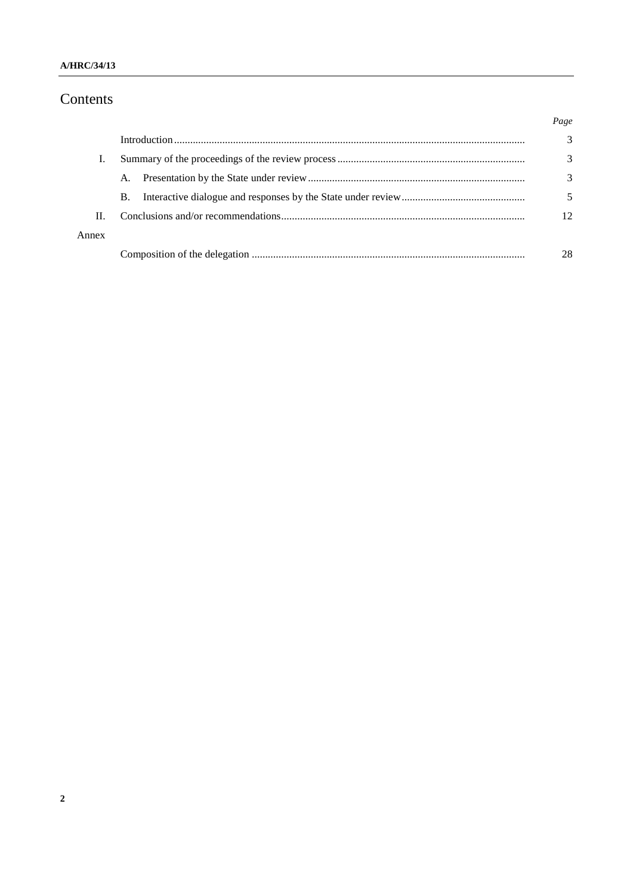#### **A/HRC/34/13**

# Contents

|       |           | Page         |
|-------|-----------|--------------|
|       |           | 3            |
|       |           | 3            |
|       | A.        | 3            |
|       | <b>B.</b> |              |
| Π.    |           | $12^{\circ}$ |
| Annex |           |              |
|       |           | 28           |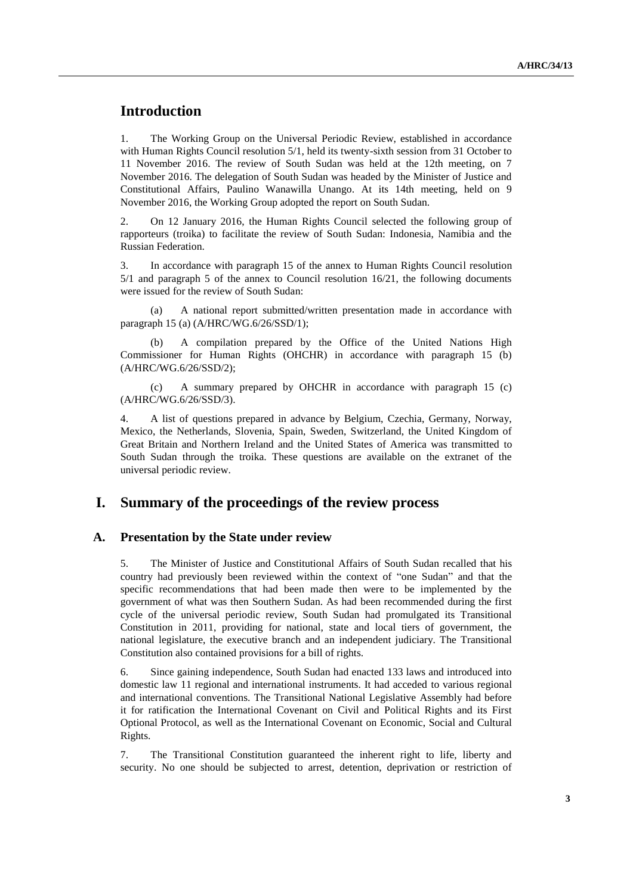## **Introduction**

1. The Working Group on the Universal Periodic Review, established in accordance with Human Rights Council resolution 5/1, held its twenty-sixth session from 31 October to 11 November 2016. The review of South Sudan was held at the 12th meeting, on 7 November 2016. The delegation of South Sudan was headed by the Minister of Justice and Constitutional Affairs, Paulino Wanawilla Unango. At its 14th meeting, held on 9 November 2016, the Working Group adopted the report on South Sudan.

2. On 12 January 2016, the Human Rights Council selected the following group of rapporteurs (troika) to facilitate the review of South Sudan: Indonesia, Namibia and the Russian Federation.

3. In accordance with paragraph 15 of the annex to Human Rights Council resolution 5/1 and paragraph 5 of the annex to Council resolution 16/21, the following documents were issued for the review of South Sudan:

(a) A national report submitted/written presentation made in accordance with paragraph 15 (a) (A/HRC/WG.6/26/SSD/1);

(b) A compilation prepared by the Office of the United Nations High Commissioner for Human Rights (OHCHR) in accordance with paragraph 15 (b) (A/HRC/WG.6/26/SSD/2);

(c) A summary prepared by OHCHR in accordance with paragraph 15 (c) (A/HRC/WG.6/26/SSD/3).

4. A list of questions prepared in advance by Belgium, Czechia, Germany, Norway, Mexico, the Netherlands, Slovenia, Spain, Sweden, Switzerland, the United Kingdom of Great Britain and Northern Ireland and the United States of America was transmitted to South Sudan through the troika. These questions are available on the extranet of the universal periodic review.

### **I. Summary of the proceedings of the review process**

#### **A. Presentation by the State under review**

5. The Minister of Justice and Constitutional Affairs of South Sudan recalled that his country had previously been reviewed within the context of "one Sudan" and that the specific recommendations that had been made then were to be implemented by the government of what was then Southern Sudan. As had been recommended during the first cycle of the universal periodic review, South Sudan had promulgated its Transitional Constitution in 2011, providing for national, state and local tiers of government, the national legislature, the executive branch and an independent judiciary. The Transitional Constitution also contained provisions for a bill of rights.

6. Since gaining independence, South Sudan had enacted 133 laws and introduced into domestic law 11 regional and international instruments. It had acceded to various regional and international conventions. The Transitional National Legislative Assembly had before it for ratification the International Covenant on Civil and Political Rights and its First Optional Protocol, as well as the International Covenant on Economic, Social and Cultural Rights.

7. The Transitional Constitution guaranteed the inherent right to life, liberty and security. No one should be subjected to arrest, detention, deprivation or restriction of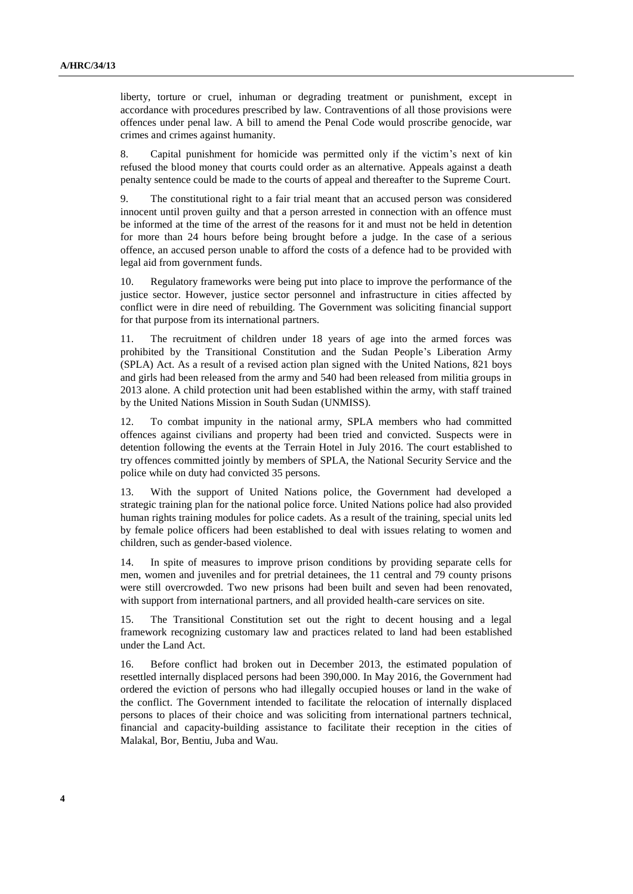liberty, torture or cruel, inhuman or degrading treatment or punishment, except in accordance with procedures prescribed by law. Contraventions of all those provisions were offences under penal law. A bill to amend the Penal Code would proscribe genocide, war crimes and crimes against humanity.

8. Capital punishment for homicide was permitted only if the victim's next of kin refused the blood money that courts could order as an alternative. Appeals against a death penalty sentence could be made to the courts of appeal and thereafter to the Supreme Court.

9. The constitutional right to a fair trial meant that an accused person was considered innocent until proven guilty and that a person arrested in connection with an offence must be informed at the time of the arrest of the reasons for it and must not be held in detention for more than 24 hours before being brought before a judge. In the case of a serious offence, an accused person unable to afford the costs of a defence had to be provided with legal aid from government funds.

10. Regulatory frameworks were being put into place to improve the performance of the justice sector. However, justice sector personnel and infrastructure in cities affected by conflict were in dire need of rebuilding. The Government was soliciting financial support for that purpose from its international partners.

11. The recruitment of children under 18 years of age into the armed forces was prohibited by the Transitional Constitution and the Sudan People's Liberation Army (SPLA) Act. As a result of a revised action plan signed with the United Nations, 821 boys and girls had been released from the army and 540 had been released from militia groups in 2013 alone. A child protection unit had been established within the army, with staff trained by the United Nations Mission in South Sudan (UNMISS).

12. To combat impunity in the national army, SPLA members who had committed offences against civilians and property had been tried and convicted. Suspects were in detention following the events at the Terrain Hotel in July 2016. The court established to try offences committed jointly by members of SPLA, the National Security Service and the police while on duty had convicted 35 persons.

With the support of United Nations police, the Government had developed a strategic training plan for the national police force. United Nations police had also provided human rights training modules for police cadets. As a result of the training, special units led by female police officers had been established to deal with issues relating to women and children, such as gender-based violence.

14. In spite of measures to improve prison conditions by providing separate cells for men, women and juveniles and for pretrial detainees, the 11 central and 79 county prisons were still overcrowded. Two new prisons had been built and seven had been renovated, with support from international partners, and all provided health-care services on site.

15. The Transitional Constitution set out the right to decent housing and a legal framework recognizing customary law and practices related to land had been established under the Land Act.

16. Before conflict had broken out in December 2013, the estimated population of resettled internally displaced persons had been 390,000. In May 2016, the Government had ordered the eviction of persons who had illegally occupied houses or land in the wake of the conflict. The Government intended to facilitate the relocation of internally displaced persons to places of their choice and was soliciting from international partners technical, financial and capacity-building assistance to facilitate their reception in the cities of Malakal, Bor, Bentiu, Juba and Wau.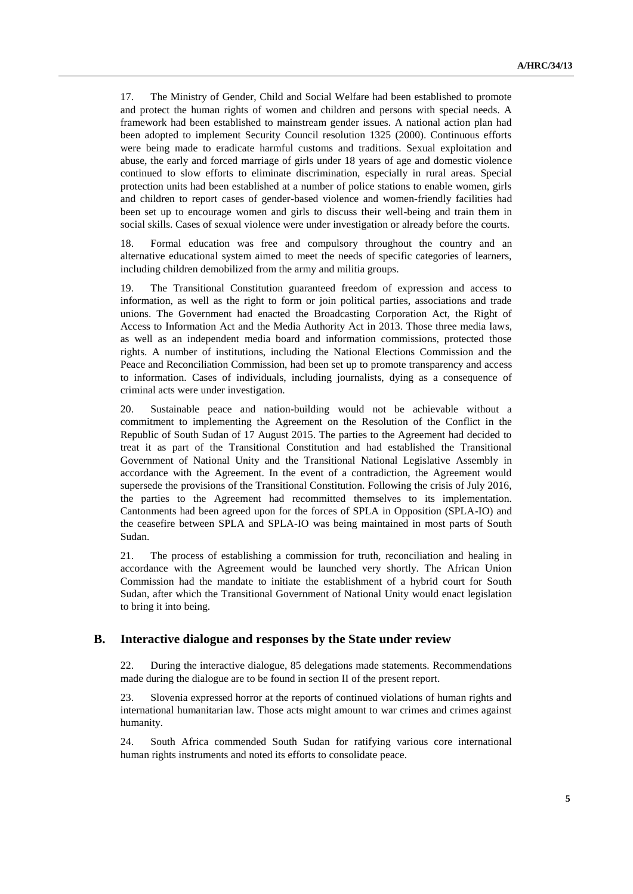17. The Ministry of Gender, Child and Social Welfare had been established to promote and protect the human rights of women and children and persons with special needs. A framework had been established to mainstream gender issues. A national action plan had been adopted to implement Security Council resolution 1325 (2000). Continuous efforts were being made to eradicate harmful customs and traditions. Sexual exploitation and abuse, the early and forced marriage of girls under 18 years of age and domestic violence continued to slow efforts to eliminate discrimination, especially in rural areas. Special protection units had been established at a number of police stations to enable women, girls and children to report cases of gender-based violence and women-friendly facilities had been set up to encourage women and girls to discuss their well-being and train them in social skills. Cases of sexual violence were under investigation or already before the courts.

18. Formal education was free and compulsory throughout the country and an alternative educational system aimed to meet the needs of specific categories of learners, including children demobilized from the army and militia groups.

19. The Transitional Constitution guaranteed freedom of expression and access to information, as well as the right to form or join political parties, associations and trade unions. The Government had enacted the Broadcasting Corporation Act, the Right of Access to Information Act and the Media Authority Act in 2013. Those three media laws, as well as an independent media board and information commissions, protected those rights. A number of institutions, including the National Elections Commission and the Peace and Reconciliation Commission, had been set up to promote transparency and access to information. Cases of individuals, including journalists, dying as a consequence of criminal acts were under investigation.

20. Sustainable peace and nation-building would not be achievable without a commitment to implementing the Agreement on the Resolution of the Conflict in the Republic of South Sudan of 17 August 2015. The parties to the Agreement had decided to treat it as part of the Transitional Constitution and had established the Transitional Government of National Unity and the Transitional National Legislative Assembly in accordance with the Agreement. In the event of a contradiction, the Agreement would supersede the provisions of the Transitional Constitution. Following the crisis of July 2016, the parties to the Agreement had recommitted themselves to its implementation. Cantonments had been agreed upon for the forces of SPLA in Opposition (SPLA-IO) and the ceasefire between SPLA and SPLA-IO was being maintained in most parts of South Sudan.

21. The process of establishing a commission for truth, reconciliation and healing in accordance with the Agreement would be launched very shortly. The African Union Commission had the mandate to initiate the establishment of a hybrid court for South Sudan, after which the Transitional Government of National Unity would enact legislation to bring it into being.

#### **B. Interactive dialogue and responses by the State under review**

22. During the interactive dialogue, 85 delegations made statements. Recommendations made during the dialogue are to be found in section II of the present report.

23. Slovenia expressed horror at the reports of continued violations of human rights and international humanitarian law. Those acts might amount to war crimes and crimes against humanity.

24. South Africa commended South Sudan for ratifying various core international human rights instruments and noted its efforts to consolidate peace.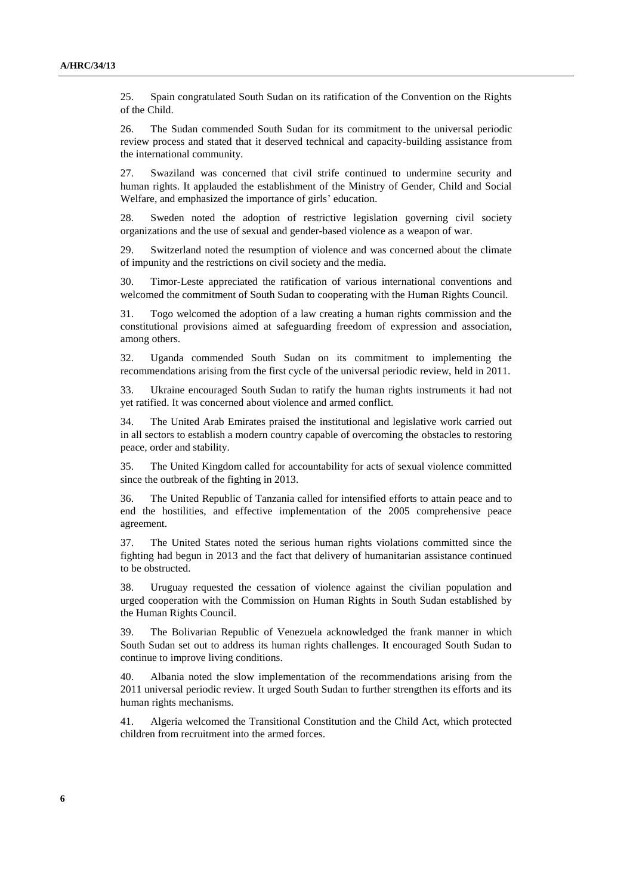25. Spain congratulated South Sudan on its ratification of the Convention on the Rights of the Child.

26. The Sudan commended South Sudan for its commitment to the universal periodic review process and stated that it deserved technical and capacity-building assistance from the international community.

27. Swaziland was concerned that civil strife continued to undermine security and human rights. It applauded the establishment of the Ministry of Gender, Child and Social Welfare, and emphasized the importance of girls' education.

28. Sweden noted the adoption of restrictive legislation governing civil society organizations and the use of sexual and gender-based violence as a weapon of war.

29. Switzerland noted the resumption of violence and was concerned about the climate of impunity and the restrictions on civil society and the media.

30. Timor-Leste appreciated the ratification of various international conventions and welcomed the commitment of South Sudan to cooperating with the Human Rights Council.

31. Togo welcomed the adoption of a law creating a human rights commission and the constitutional provisions aimed at safeguarding freedom of expression and association, among others.

32. Uganda commended South Sudan on its commitment to implementing the recommendations arising from the first cycle of the universal periodic review, held in 2011.

33. Ukraine encouraged South Sudan to ratify the human rights instruments it had not yet ratified. It was concerned about violence and armed conflict.

34. The United Arab Emirates praised the institutional and legislative work carried out in all sectors to establish a modern country capable of overcoming the obstacles to restoring peace, order and stability.

35. The United Kingdom called for accountability for acts of sexual violence committed since the outbreak of the fighting in 2013.

36. The United Republic of Tanzania called for intensified efforts to attain peace and to end the hostilities, and effective implementation of the 2005 comprehensive peace agreement.

37. The United States noted the serious human rights violations committed since the fighting had begun in 2013 and the fact that delivery of humanitarian assistance continued to be obstructed.

38. Uruguay requested the cessation of violence against the civilian population and urged cooperation with the Commission on Human Rights in South Sudan established by the Human Rights Council.

39. The Bolivarian Republic of Venezuela acknowledged the frank manner in which South Sudan set out to address its human rights challenges. It encouraged South Sudan to continue to improve living conditions.

40. Albania noted the slow implementation of the recommendations arising from the 2011 universal periodic review. It urged South Sudan to further strengthen its efforts and its human rights mechanisms.

41. Algeria welcomed the Transitional Constitution and the Child Act, which protected children from recruitment into the armed forces.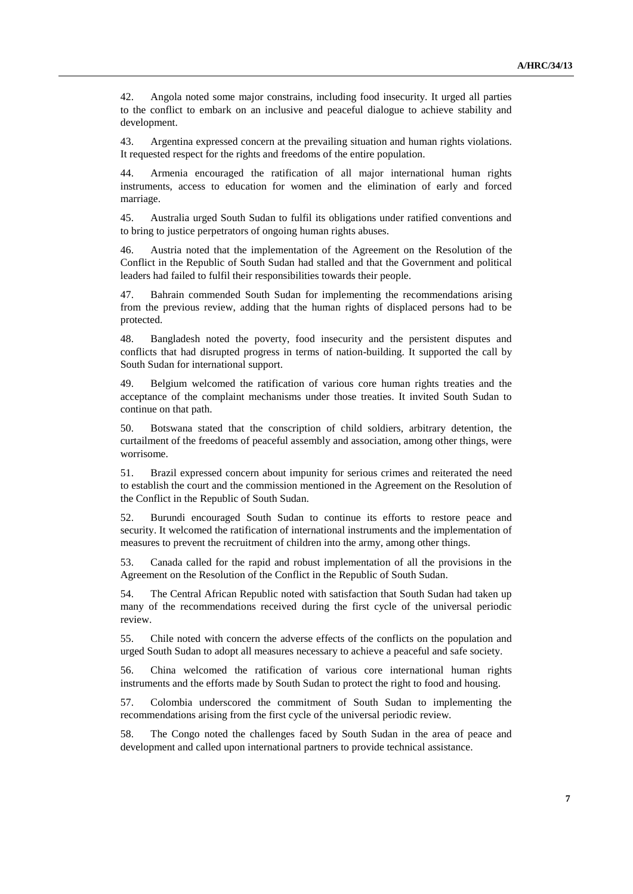42. Angola noted some major constrains, including food insecurity. It urged all parties to the conflict to embark on an inclusive and peaceful dialogue to achieve stability and development.

43. Argentina expressed concern at the prevailing situation and human rights violations. It requested respect for the rights and freedoms of the entire population.

44. Armenia encouraged the ratification of all major international human rights instruments, access to education for women and the elimination of early and forced marriage.

45. Australia urged South Sudan to fulfil its obligations under ratified conventions and to bring to justice perpetrators of ongoing human rights abuses.

46. Austria noted that the implementation of the Agreement on the Resolution of the Conflict in the Republic of South Sudan had stalled and that the Government and political leaders had failed to fulfil their responsibilities towards their people.

47. Bahrain commended South Sudan for implementing the recommendations arising from the previous review, adding that the human rights of displaced persons had to be protected.

48. Bangladesh noted the poverty, food insecurity and the persistent disputes and conflicts that had disrupted progress in terms of nation-building. It supported the call by South Sudan for international support.

49. Belgium welcomed the ratification of various core human rights treaties and the acceptance of the complaint mechanisms under those treaties. It invited South Sudan to continue on that path.

50. Botswana stated that the conscription of child soldiers, arbitrary detention, the curtailment of the freedoms of peaceful assembly and association, among other things, were worrisome.

51. Brazil expressed concern about impunity for serious crimes and reiterated the need to establish the court and the commission mentioned in the Agreement on the Resolution of the Conflict in the Republic of South Sudan.

52. Burundi encouraged South Sudan to continue its efforts to restore peace and security. It welcomed the ratification of international instruments and the implementation of measures to prevent the recruitment of children into the army, among other things.

53. Canada called for the rapid and robust implementation of all the provisions in the Agreement on the Resolution of the Conflict in the Republic of South Sudan.

54. The Central African Republic noted with satisfaction that South Sudan had taken up many of the recommendations received during the first cycle of the universal periodic review.

55. Chile noted with concern the adverse effects of the conflicts on the population and urged South Sudan to adopt all measures necessary to achieve a peaceful and safe society.

56. China welcomed the ratification of various core international human rights instruments and the efforts made by South Sudan to protect the right to food and housing.

57. Colombia underscored the commitment of South Sudan to implementing the recommendations arising from the first cycle of the universal periodic review.

58. The Congo noted the challenges faced by South Sudan in the area of peace and development and called upon international partners to provide technical assistance.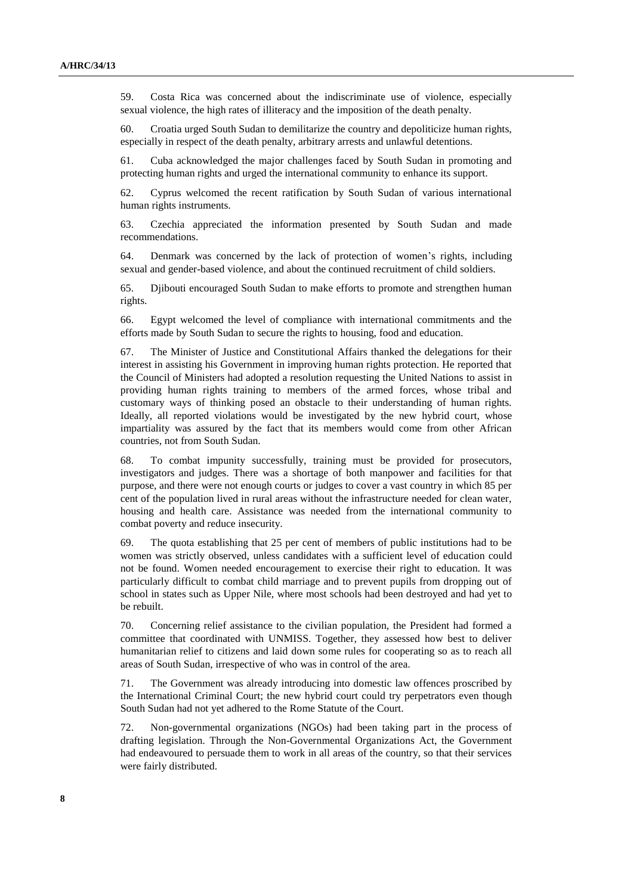59. Costa Rica was concerned about the indiscriminate use of violence, especially sexual violence, the high rates of illiteracy and the imposition of the death penalty.

60. Croatia urged South Sudan to demilitarize the country and depoliticize human rights, especially in respect of the death penalty, arbitrary arrests and unlawful detentions.

61. Cuba acknowledged the major challenges faced by South Sudan in promoting and protecting human rights and urged the international community to enhance its support.

62. Cyprus welcomed the recent ratification by South Sudan of various international human rights instruments.

63. Czechia appreciated the information presented by South Sudan and made recommendations.

64. Denmark was concerned by the lack of protection of women's rights, including sexual and gender-based violence, and about the continued recruitment of child soldiers.

65. Djibouti encouraged South Sudan to make efforts to promote and strengthen human rights.

66. Egypt welcomed the level of compliance with international commitments and the efforts made by South Sudan to secure the rights to housing, food and education.

67. The Minister of Justice and Constitutional Affairs thanked the delegations for their interest in assisting his Government in improving human rights protection. He reported that the Council of Ministers had adopted a resolution requesting the United Nations to assist in providing human rights training to members of the armed forces, whose tribal and customary ways of thinking posed an obstacle to their understanding of human rights. Ideally, all reported violations would be investigated by the new hybrid court, whose impartiality was assured by the fact that its members would come from other African countries, not from South Sudan.

68. To combat impunity successfully, training must be provided for prosecutors, investigators and judges. There was a shortage of both manpower and facilities for that purpose, and there were not enough courts or judges to cover a vast country in which 85 per cent of the population lived in rural areas without the infrastructure needed for clean water, housing and health care. Assistance was needed from the international community to combat poverty and reduce insecurity.

69. The quota establishing that 25 per cent of members of public institutions had to be women was strictly observed, unless candidates with a sufficient level of education could not be found. Women needed encouragement to exercise their right to education. It was particularly difficult to combat child marriage and to prevent pupils from dropping out of school in states such as Upper Nile, where most schools had been destroyed and had yet to be rebuilt.

70. Concerning relief assistance to the civilian population, the President had formed a committee that coordinated with UNMISS. Together, they assessed how best to deliver humanitarian relief to citizens and laid down some rules for cooperating so as to reach all areas of South Sudan, irrespective of who was in control of the area.

71. The Government was already introducing into domestic law offences proscribed by the International Criminal Court; the new hybrid court could try perpetrators even though South Sudan had not yet adhered to the Rome Statute of the Court.

72. Non-governmental organizations (NGOs) had been taking part in the process of drafting legislation. Through the Non-Governmental Organizations Act, the Government had endeavoured to persuade them to work in all areas of the country, so that their services were fairly distributed.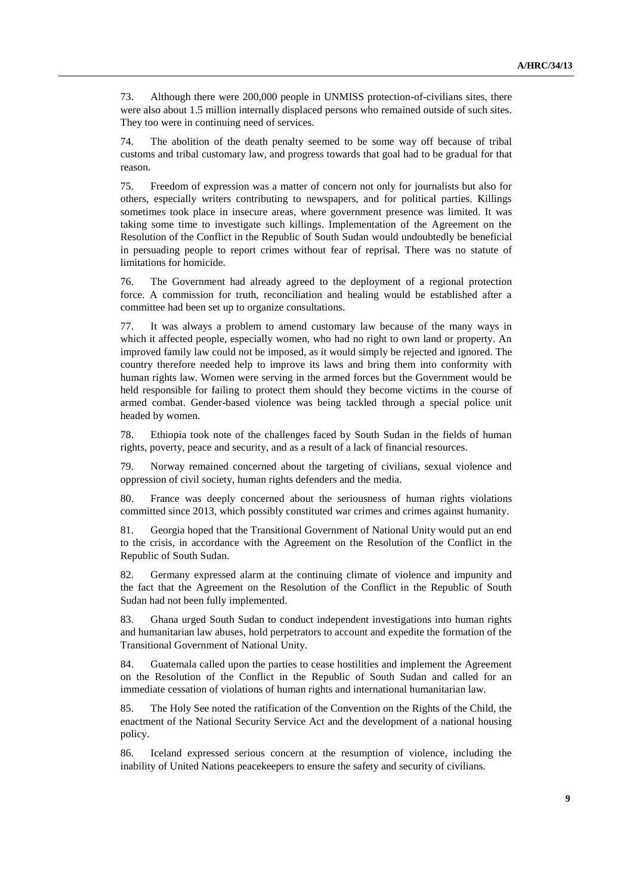73. Although there were 200,000 people in UNMISS protection-of-civilians sites, there were also about 1.5 million internally displaced persons who remained outside of such sites. They too were in continuing need of services.

74. The abolition of the death penalty seemed to be some way off because of tribal customs and tribal customary law, and progress towards that goal had to be gradual for that reason.

75. Freedom of expression was a matter of concern not only for journalists but also for others, especially writers contributing to newspapers, and for political parties. Killings sometimes took place in insecure areas, where government presence was limited. It was taking some time to investigate such killings. Implementation of the Agreement on the Resolution of the Conflict in the Republic of South Sudan would undoubtedly be beneficial in persuading people to report crimes without fear of reprisal. There was no statute of limitations for homicide.

76. The Government had already agreed to the deployment of a regional protection force. A commission for truth, reconciliation and healing would be established after a committee had been set up to organize consultations.

77. It was always a problem to amend customary law because of the many ways in which it affected people, especially women, who had no right to own land or property. An improved family law could not be imposed, as it would simply be rejected and ignored. The country therefore needed help to improve its laws and bring them into conformity with human rights law. Women were serving in the armed forces but the Government would be held responsible for failing to protect them should they become victims in the course of armed combat. Gender-based violence was being tackled through a special police unit headed by women.

78. Ethiopia took note of the challenges faced by South Sudan in the fields of human rights, poverty, peace and security, and as a result of a lack of financial resources.

79. Norway remained concerned about the targeting of civilians, sexual violence and oppression of civil society, human rights defenders and the media.

80. France was deeply concerned about the seriousness of human rights violations committed since 2013, which possibly constituted war crimes and crimes against humanity.

81. Georgia hoped that the Transitional Government of National Unity would put an end to the crisis, in accordance with the Agreement on the Resolution of the Conflict in the Republic of South Sudan.

82. Germany expressed alarm at the continuing climate of violence and impunity and the fact that the Agreement on the Resolution of the Conflict in the Republic of South Sudan had not been fully implemented.

83. Ghana urged South Sudan to conduct independent investigations into human rights and humanitarian law abuses, hold perpetrators to account and expedite the formation of the Transitional Government of National Unity.

84. Guatemala called upon the parties to cease hostilities and implement the Agreement on the Resolution of the Conflict in the Republic of South Sudan and called for an immediate cessation of violations of human rights and international humanitarian law.

85. The Holy See noted the ratification of the Convention on the Rights of the Child, the enactment of the National Security Service Act and the development of a national housing policy.

86. Iceland expressed serious concern at the resumption of violence, including the inability of United Nations peacekeepers to ensure the safety and security of civilians.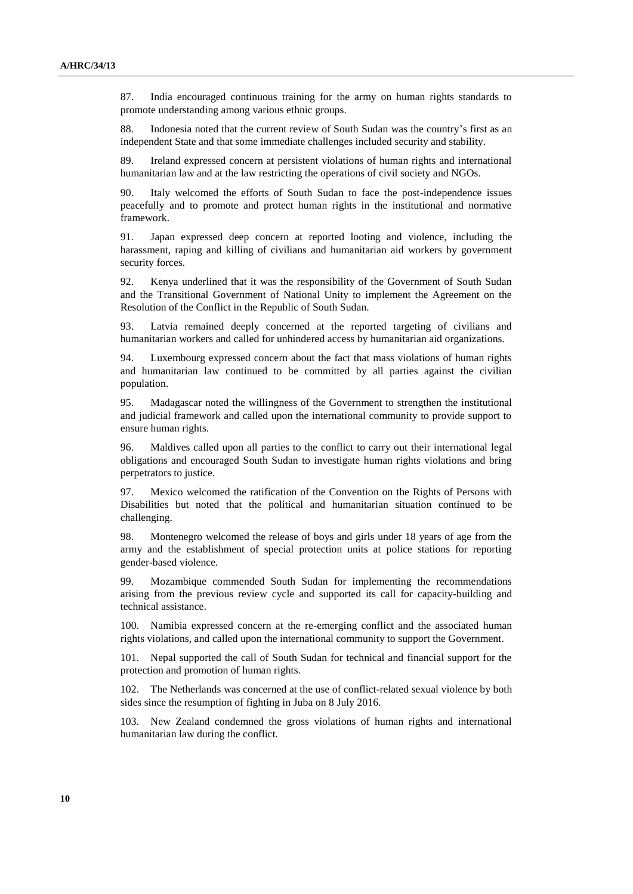87. India encouraged continuous training for the army on human rights standards to promote understanding among various ethnic groups.

88. Indonesia noted that the current review of South Sudan was the country's first as an independent State and that some immediate challenges included security and stability.

89. Ireland expressed concern at persistent violations of human rights and international humanitarian law and at the law restricting the operations of civil society and NGOs.

90. Italy welcomed the efforts of South Sudan to face the post-independence issues peacefully and to promote and protect human rights in the institutional and normative framework.

91. Japan expressed deep concern at reported looting and violence, including the harassment, raping and killing of civilians and humanitarian aid workers by government security forces.

92. Kenya underlined that it was the responsibility of the Government of South Sudan and the Transitional Government of National Unity to implement the Agreement on the Resolution of the Conflict in the Republic of South Sudan.

93. Latvia remained deeply concerned at the reported targeting of civilians and humanitarian workers and called for unhindered access by humanitarian aid organizations.

94. Luxembourg expressed concern about the fact that mass violations of human rights and humanitarian law continued to be committed by all parties against the civilian population.

95. Madagascar noted the willingness of the Government to strengthen the institutional and judicial framework and called upon the international community to provide support to ensure human rights.

96. Maldives called upon all parties to the conflict to carry out their international legal obligations and encouraged South Sudan to investigate human rights violations and bring perpetrators to justice.

97. Mexico welcomed the ratification of the Convention on the Rights of Persons with Disabilities but noted that the political and humanitarian situation continued to be challenging.

98. Montenegro welcomed the release of boys and girls under 18 years of age from the army and the establishment of special protection units at police stations for reporting gender-based violence.

99. Mozambique commended South Sudan for implementing the recommendations arising from the previous review cycle and supported its call for capacity-building and technical assistance.

100. Namibia expressed concern at the re-emerging conflict and the associated human rights violations, and called upon the international community to support the Government.

101. Nepal supported the call of South Sudan for technical and financial support for the protection and promotion of human rights.

102. The Netherlands was concerned at the use of conflict-related sexual violence by both sides since the resumption of fighting in Juba on 8 July 2016.

103. New Zealand condemned the gross violations of human rights and international humanitarian law during the conflict.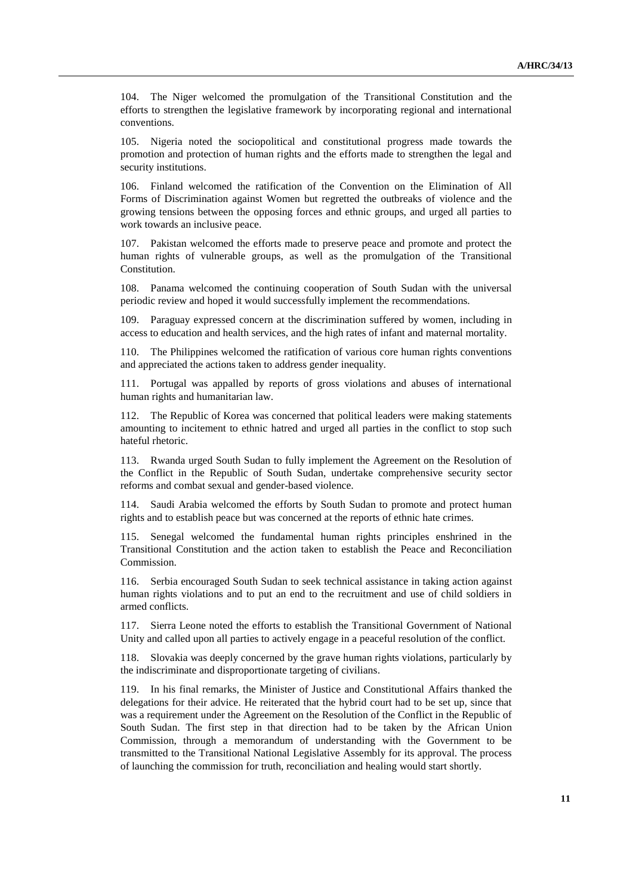104. The Niger welcomed the promulgation of the Transitional Constitution and the efforts to strengthen the legislative framework by incorporating regional and international conventions.

105. Nigeria noted the sociopolitical and constitutional progress made towards the promotion and protection of human rights and the efforts made to strengthen the legal and security institutions.

106. Finland welcomed the ratification of the Convention on the Elimination of All Forms of Discrimination against Women but regretted the outbreaks of violence and the growing tensions between the opposing forces and ethnic groups, and urged all parties to work towards an inclusive peace.

107. Pakistan welcomed the efforts made to preserve peace and promote and protect the human rights of vulnerable groups, as well as the promulgation of the Transitional Constitution.

108. Panama welcomed the continuing cooperation of South Sudan with the universal periodic review and hoped it would successfully implement the recommendations.

109. Paraguay expressed concern at the discrimination suffered by women, including in access to education and health services, and the high rates of infant and maternal mortality.

110. The Philippines welcomed the ratification of various core human rights conventions and appreciated the actions taken to address gender inequality.

111. Portugal was appalled by reports of gross violations and abuses of international human rights and humanitarian law.

112. The Republic of Korea was concerned that political leaders were making statements amounting to incitement to ethnic hatred and urged all parties in the conflict to stop such hateful rhetoric.

113. Rwanda urged South Sudan to fully implement the Agreement on the Resolution of the Conflict in the Republic of South Sudan, undertake comprehensive security sector reforms and combat sexual and gender-based violence.

114. Saudi Arabia welcomed the efforts by South Sudan to promote and protect human rights and to establish peace but was concerned at the reports of ethnic hate crimes.

115. Senegal welcomed the fundamental human rights principles enshrined in the Transitional Constitution and the action taken to establish the Peace and Reconciliation Commission.

116. Serbia encouraged South Sudan to seek technical assistance in taking action against human rights violations and to put an end to the recruitment and use of child soldiers in armed conflicts.

117. Sierra Leone noted the efforts to establish the Transitional Government of National Unity and called upon all parties to actively engage in a peaceful resolution of the conflict.

118. Slovakia was deeply concerned by the grave human rights violations, particularly by the indiscriminate and disproportionate targeting of civilians.

119. In his final remarks, the Minister of Justice and Constitutional Affairs thanked the delegations for their advice. He reiterated that the hybrid court had to be set up, since that was a requirement under the Agreement on the Resolution of the Conflict in the Republic of South Sudan. The first step in that direction had to be taken by the African Union Commission, through a memorandum of understanding with the Government to be transmitted to the Transitional National Legislative Assembly for its approval. The process of launching the commission for truth, reconciliation and healing would start shortly.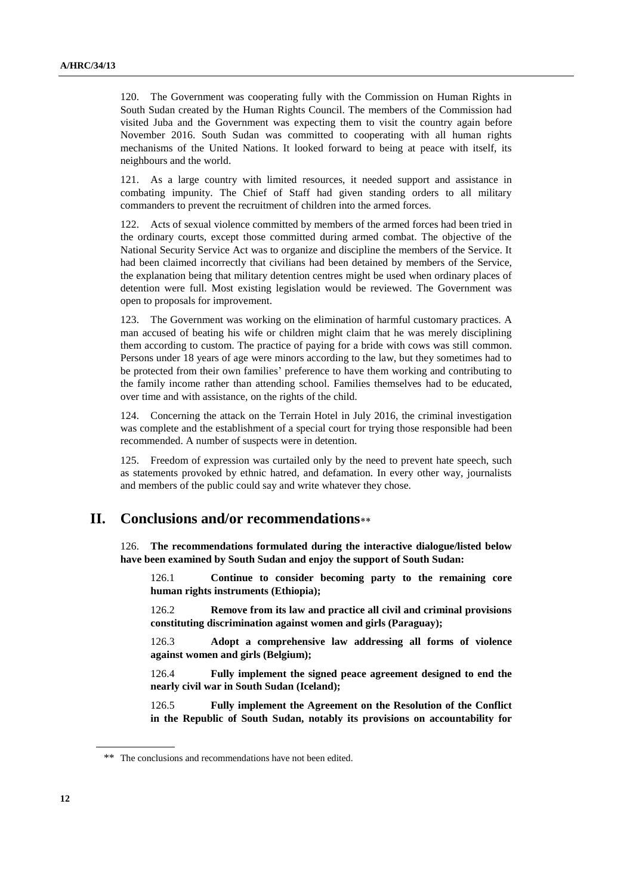120. The Government was cooperating fully with the Commission on Human Rights in South Sudan created by the Human Rights Council. The members of the Commission had visited Juba and the Government was expecting them to visit the country again before November 2016. South Sudan was committed to cooperating with all human rights mechanisms of the United Nations. It looked forward to being at peace with itself, its neighbours and the world.

121. As a large country with limited resources, it needed support and assistance in combating impunity. The Chief of Staff had given standing orders to all military commanders to prevent the recruitment of children into the armed forces.

122. Acts of sexual violence committed by members of the armed forces had been tried in the ordinary courts, except those committed during armed combat. The objective of the National Security Service Act was to organize and discipline the members of the Service. It had been claimed incorrectly that civilians had been detained by members of the Service, the explanation being that military detention centres might be used when ordinary places of detention were full. Most existing legislation would be reviewed. The Government was open to proposals for improvement.

123. The Government was working on the elimination of harmful customary practices. A man accused of beating his wife or children might claim that he was merely disciplining them according to custom. The practice of paying for a bride with cows was still common. Persons under 18 years of age were minors according to the law, but they sometimes had to be protected from their own families' preference to have them working and contributing to the family income rather than attending school. Families themselves had to be educated, over time and with assistance, on the rights of the child.

124. Concerning the attack on the Terrain Hotel in July 2016, the criminal investigation was complete and the establishment of a special court for trying those responsible had been recommended. A number of suspects were in detention.

125. Freedom of expression was curtailed only by the need to prevent hate speech, such as statements provoked by ethnic hatred, and defamation. In every other way, journalists and members of the public could say and write whatever they chose.

### **II. Conclusions and/or recommendations**

126. **The recommendations formulated during the interactive dialogue/listed below have been examined by South Sudan and enjoy the support of South Sudan:**

126.1 **Continue to consider becoming party to the remaining core human rights instruments (Ethiopia);**

126.2 **Remove from its law and practice all civil and criminal provisions constituting discrimination against women and girls (Paraguay);**

126.3 **Adopt a comprehensive law addressing all forms of violence against women and girls (Belgium);**

126.4 **Fully implement the signed peace agreement designed to end the nearly civil war in South Sudan (Iceland);**

126.5 **Fully implement the Agreement on the Resolution of the Conflict in the Republic of South Sudan, notably its provisions on accountability for** 

<sup>\*\*</sup> The conclusions and recommendations have not been edited.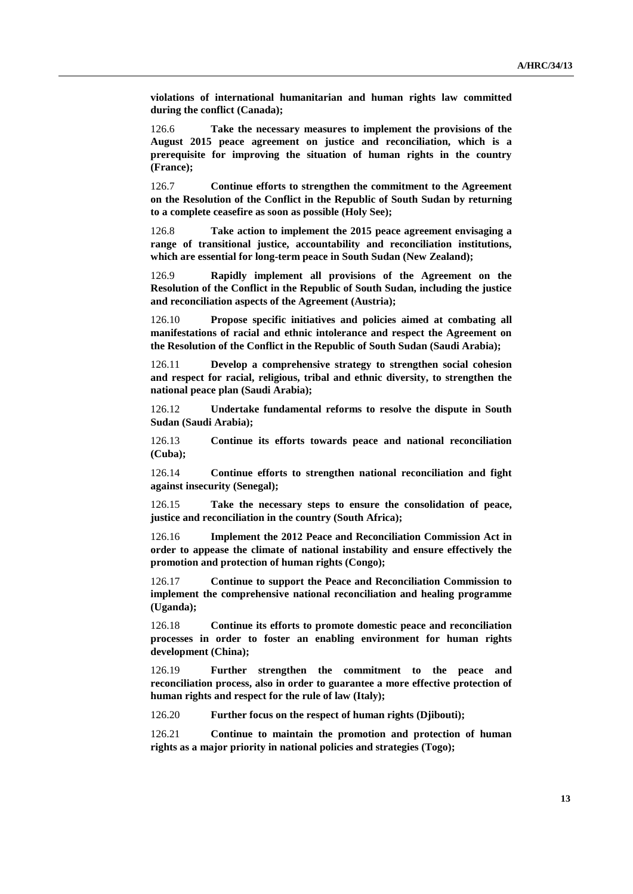**violations of international humanitarian and human rights law committed during the conflict (Canada);**

126.6 **Take the necessary measures to implement the provisions of the August 2015 peace agreement on justice and reconciliation, which is a prerequisite for improving the situation of human rights in the country (France);**

126.7 **Continue efforts to strengthen the commitment to the Agreement on the Resolution of the Conflict in the Republic of South Sudan by returning to a complete ceasefire as soon as possible (Holy See);**

126.8 **Take action to implement the 2015 peace agreement envisaging a range of transitional justice, accountability and reconciliation institutions, which are essential for long-term peace in South Sudan (New Zealand);**

126.9 **Rapidly implement all provisions of the Agreement on the Resolution of the Conflict in the Republic of South Sudan, including the justice and reconciliation aspects of the Agreement (Austria);**

126.10 **Propose specific initiatives and policies aimed at combating all manifestations of racial and ethnic intolerance and respect the Agreement on the Resolution of the Conflict in the Republic of South Sudan (Saudi Arabia);**

126.11 **Develop a comprehensive strategy to strengthen social cohesion and respect for racial, religious, tribal and ethnic diversity, to strengthen the national peace plan (Saudi Arabia);**

126.12 **Undertake fundamental reforms to resolve the dispute in South Sudan (Saudi Arabia);**

126.13 **Continue its efforts towards peace and national reconciliation (Cuba);**

126.14 **Continue efforts to strengthen national reconciliation and fight against insecurity (Senegal);**

126.15 **Take the necessary steps to ensure the consolidation of peace, justice and reconciliation in the country (South Africa);**

126.16 **Implement the 2012 Peace and Reconciliation Commission Act in order to appease the climate of national instability and ensure effectively the promotion and protection of human rights (Congo);**

126.17 **Continue to support the Peace and Reconciliation Commission to implement the comprehensive national reconciliation and healing programme (Uganda);**

126.18 **Continue its efforts to promote domestic peace and reconciliation processes in order to foster an enabling environment for human rights development (China);**

126.19 **Further strengthen the commitment to the peace and reconciliation process, also in order to guarantee a more effective protection of human rights and respect for the rule of law (Italy);**

126.20 **Further focus on the respect of human rights (Djibouti);**

126.21 **Continue to maintain the promotion and protection of human rights as a major priority in national policies and strategies (Togo);**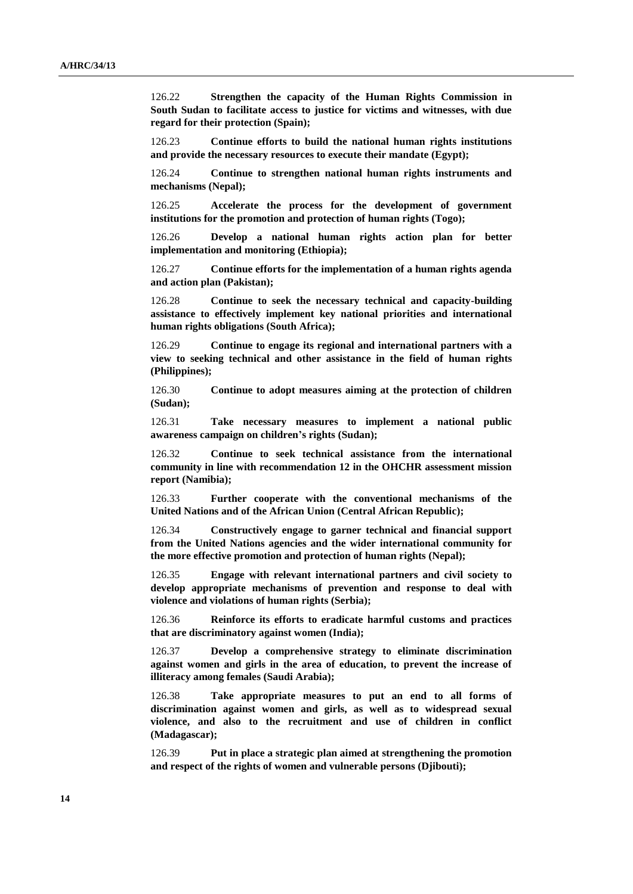126.22 **Strengthen the capacity of the Human Rights Commission in South Sudan to facilitate access to justice for victims and witnesses, with due regard for their protection (Spain);**

126.23 **Continue efforts to build the national human rights institutions and provide the necessary resources to execute their mandate (Egypt);**

126.24 **Continue to strengthen national human rights instruments and mechanisms (Nepal);**

126.25 **Accelerate the process for the development of government institutions for the promotion and protection of human rights (Togo);**

126.26 **Develop a national human rights action plan for better implementation and monitoring (Ethiopia);**

126.27 **Continue efforts for the implementation of a human rights agenda and action plan (Pakistan);**

126.28 **Continue to seek the necessary technical and capacity-building assistance to effectively implement key national priorities and international human rights obligations (South Africa);**

126.29 **Continue to engage its regional and international partners with a view to seeking technical and other assistance in the field of human rights (Philippines);**

126.30 **Continue to adopt measures aiming at the protection of children (Sudan);**

126.31 **Take necessary measures to implement a national public awareness campaign on children's rights (Sudan);**

126.32 **Continue to seek technical assistance from the international community in line with recommendation 12 in the OHCHR assessment mission report (Namibia);**

126.33 **Further cooperate with the conventional mechanisms of the United Nations and of the African Union (Central African Republic);**

126.34 **Constructively engage to garner technical and financial support from the United Nations agencies and the wider international community for the more effective promotion and protection of human rights (Nepal);**

126.35 **Engage with relevant international partners and civil society to develop appropriate mechanisms of prevention and response to deal with violence and violations of human rights (Serbia);**

126.36 **Reinforce its efforts to eradicate harmful customs and practices that are discriminatory against women (India);**

126.37 **Develop a comprehensive strategy to eliminate discrimination against women and girls in the area of education, to prevent the increase of illiteracy among females (Saudi Arabia);**

126.38 **Take appropriate measures to put an end to all forms of discrimination against women and girls, as well as to widespread sexual violence, and also to the recruitment and use of children in conflict (Madagascar);**

126.39 **Put in place a strategic plan aimed at strengthening the promotion and respect of the rights of women and vulnerable persons (Djibouti);**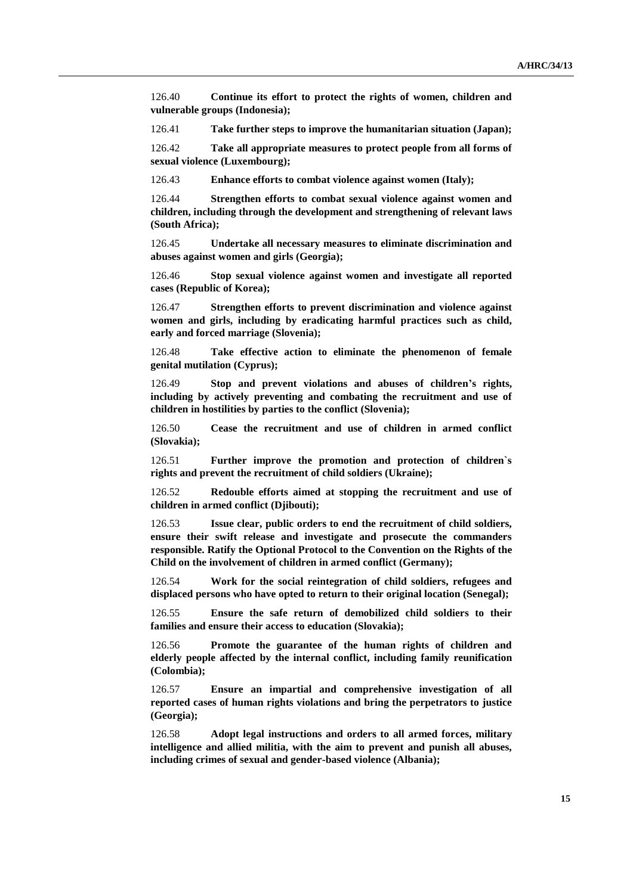126.40 **Continue its effort to protect the rights of women, children and vulnerable groups (Indonesia);**

126.41 **Take further steps to improve the humanitarian situation (Japan);**

126.42 **Take all appropriate measures to protect people from all forms of sexual violence (Luxembourg);**

126.43 **Enhance efforts to combat violence against women (Italy);**

126.44 **Strengthen efforts to combat sexual violence against women and children, including through the development and strengthening of relevant laws (South Africa);**

126.45 **Undertake all necessary measures to eliminate discrimination and abuses against women and girls (Georgia);**

126.46 **Stop sexual violence against women and investigate all reported cases (Republic of Korea);**

126.47 **Strengthen efforts to prevent discrimination and violence against women and girls, including by eradicating harmful practices such as child, early and forced marriage (Slovenia);**

126.48 **Take effective action to eliminate the phenomenon of female genital mutilation (Cyprus);**

126.49 **Stop and prevent violations and abuses of children's rights, including by actively preventing and combating the recruitment and use of children in hostilities by parties to the conflict (Slovenia);**

126.50 **Cease the recruitment and use of children in armed conflict (Slovakia);**

126.51 **Further improve the promotion and protection of children`s rights and prevent the recruitment of child soldiers (Ukraine);**

126.52 **Redouble efforts aimed at stopping the recruitment and use of children in armed conflict (Djibouti);**

126.53 **Issue clear, public orders to end the recruitment of child soldiers, ensure their swift release and investigate and prosecute the commanders responsible. Ratify the Optional Protocol to the Convention on the Rights of the Child on the involvement of children in armed conflict (Germany);**

126.54 **Work for the social reintegration of child soldiers, refugees and displaced persons who have opted to return to their original location (Senegal);**

126.55 **Ensure the safe return of demobilized child soldiers to their families and ensure their access to education (Slovakia);**

126.56 **Promote the guarantee of the human rights of children and elderly people affected by the internal conflict, including family reunification (Colombia);**

126.57 **Ensure an impartial and comprehensive investigation of all reported cases of human rights violations and bring the perpetrators to justice (Georgia);**

126.58 **Adopt legal instructions and orders to all armed forces, military intelligence and allied militia, with the aim to prevent and punish all abuses, including crimes of sexual and gender-based violence (Albania);**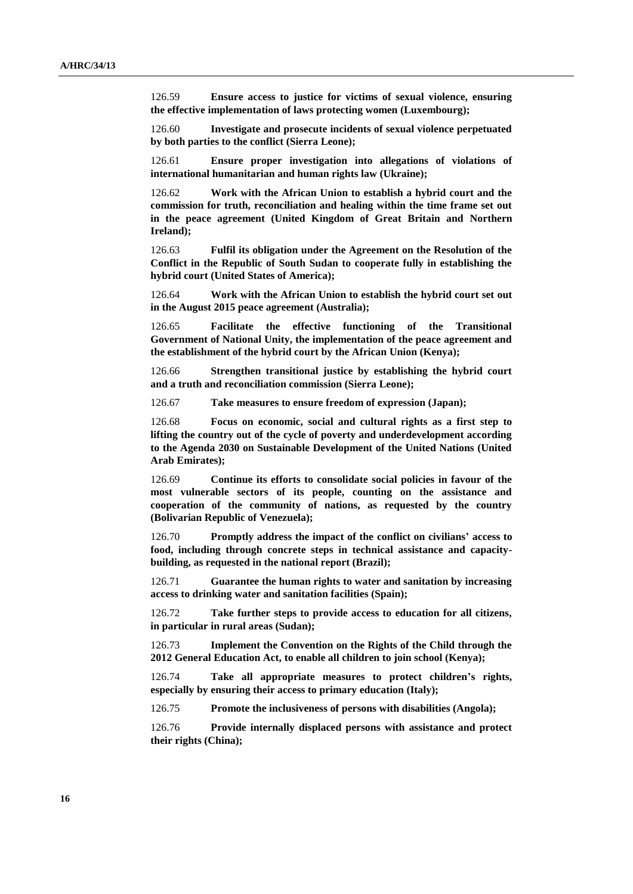126.59 **Ensure access to justice for victims of sexual violence, ensuring the effective implementation of laws protecting women (Luxembourg);**

126.60 **Investigate and prosecute incidents of sexual violence perpetuated by both parties to the conflict (Sierra Leone);**

126.61 **Ensure proper investigation into allegations of violations of international humanitarian and human rights law (Ukraine);**

126.62 **Work with the African Union to establish a hybrid court and the commission for truth, reconciliation and healing within the time frame set out in the peace agreement (United Kingdom of Great Britain and Northern Ireland);**

126.63 **Fulfil its obligation under the Agreement on the Resolution of the Conflict in the Republic of South Sudan to cooperate fully in establishing the hybrid court (United States of America);**

126.64 **Work with the African Union to establish the hybrid court set out in the August 2015 peace agreement (Australia);**

126.65 **Facilitate the effective functioning of the Transitional Government of National Unity, the implementation of the peace agreement and the establishment of the hybrid court by the African Union (Kenya);**

126.66 **Strengthen transitional justice by establishing the hybrid court and a truth and reconciliation commission (Sierra Leone);**

126.67 **Take measures to ensure freedom of expression (Japan);**

126.68 **Focus on economic, social and cultural rights as a first step to lifting the country out of the cycle of poverty and underdevelopment according to the Agenda 2030 on Sustainable Development of the United Nations (United Arab Emirates);**

126.69 **Continue its efforts to consolidate social policies in favour of the most vulnerable sectors of its people, counting on the assistance and cooperation of the community of nations, as requested by the country (Bolivarian Republic of Venezuela);**

126.70 **Promptly address the impact of the conflict on civilians' access to food, including through concrete steps in technical assistance and capacitybuilding, as requested in the national report (Brazil);**

126.71 **Guarantee the human rights to water and sanitation by increasing access to drinking water and sanitation facilities (Spain);**

126.72 **Take further steps to provide access to education for all citizens, in particular in rural areas (Sudan);**

126.73 **Implement the Convention on the Rights of the Child through the 2012 General Education Act, to enable all children to join school (Kenya);**

126.74 **Take all appropriate measures to protect children's rights, especially by ensuring their access to primary education (Italy);**

126.75 **Promote the inclusiveness of persons with disabilities (Angola);**

126.76 **Provide internally displaced persons with assistance and protect their rights (China);**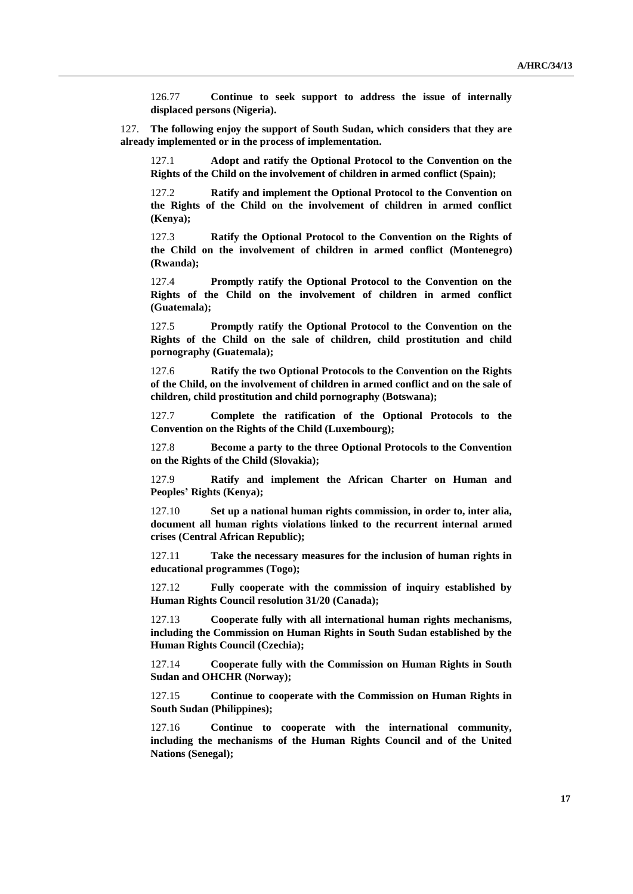126.77 **Continue to seek support to address the issue of internally displaced persons (Nigeria).**

127. **The following enjoy the support of South Sudan, which considers that they are already implemented or in the process of implementation.**

127.1 **Adopt and ratify the Optional Protocol to the Convention on the Rights of the Child on the involvement of children in armed conflict (Spain);**

127.2 **Ratify and implement the Optional Protocol to the Convention on the Rights of the Child on the involvement of children in armed conflict (Kenya);**

127.3 **Ratify the Optional Protocol to the Convention on the Rights of the Child on the involvement of children in armed conflict (Montenegro) (Rwanda);**

127.4 **Promptly ratify the Optional Protocol to the Convention on the Rights of the Child on the involvement of children in armed conflict (Guatemala);**

127.5 **Promptly ratify the Optional Protocol to the Convention on the Rights of the Child on the sale of children, child prostitution and child pornography (Guatemala);**

127.6 **Ratify the two Optional Protocols to the Convention on the Rights of the Child, on the involvement of children in armed conflict and on the sale of children, child prostitution and child pornography (Botswana);**

127.7 **Complete the ratification of the Optional Protocols to the Convention on the Rights of the Child (Luxembourg);**

127.8 **Become a party to the three Optional Protocols to the Convention on the Rights of the Child (Slovakia);**

127.9 **Ratify and implement the African Charter on Human and Peoples' Rights (Kenya);**

127.10 **Set up a national human rights commission, in order to, inter alia, document all human rights violations linked to the recurrent internal armed crises (Central African Republic);**

127.11 **Take the necessary measures for the inclusion of human rights in educational programmes (Togo);**

127.12 **Fully cooperate with the commission of inquiry established by Human Rights Council resolution 31/20 (Canada);**

127.13 **Cooperate fully with all international human rights mechanisms, including the Commission on Human Rights in South Sudan established by the Human Rights Council (Czechia);**

127.14 **Cooperate fully with the Commission on Human Rights in South Sudan and OHCHR (Norway);**

127.15 **Continue to cooperate with the Commission on Human Rights in South Sudan (Philippines);**

127.16 **Continue to cooperate with the international community, including the mechanisms of the Human Rights Council and of the United Nations (Senegal);**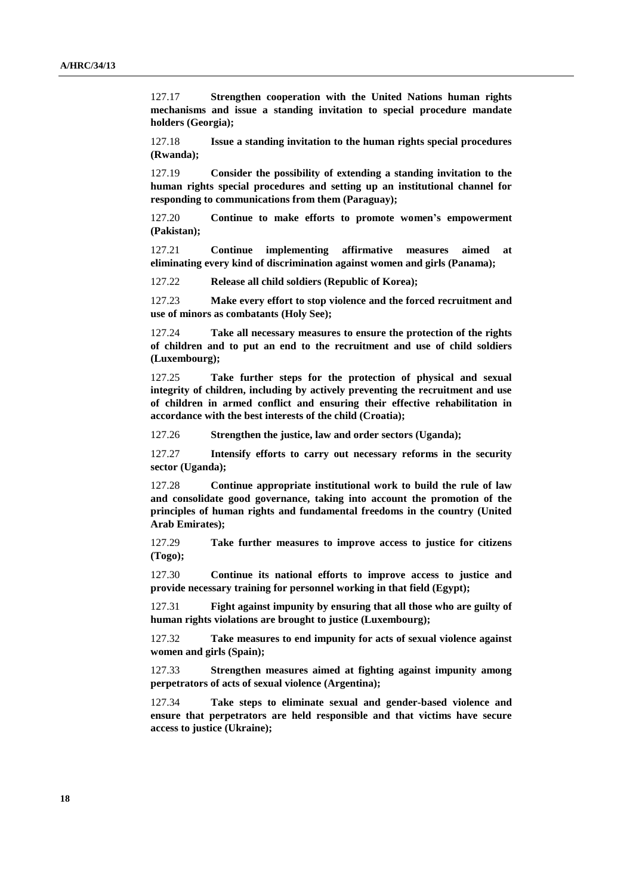127.17 **Strengthen cooperation with the United Nations human rights mechanisms and issue a standing invitation to special procedure mandate holders (Georgia);**

127.18 **Issue a standing invitation to the human rights special procedures (Rwanda);**

127.19 **Consider the possibility of extending a standing invitation to the human rights special procedures and setting up an institutional channel for responding to communications from them (Paraguay);**

127.20 **Continue to make efforts to promote women's empowerment (Pakistan);**

127.21 **Continue implementing affirmative measures aimed at eliminating every kind of discrimination against women and girls (Panama);**

127.22 **Release all child soldiers (Republic of Korea);**

127.23 **Make every effort to stop violence and the forced recruitment and use of minors as combatants (Holy See);**

127.24 **Take all necessary measures to ensure the protection of the rights of children and to put an end to the recruitment and use of child soldiers (Luxembourg);**

127.25 **Take further steps for the protection of physical and sexual integrity of children, including by actively preventing the recruitment and use of children in armed conflict and ensuring their effective rehabilitation in accordance with the best interests of the child (Croatia);**

127.26 **Strengthen the justice, law and order sectors (Uganda);**

127.27 **Intensify efforts to carry out necessary reforms in the security sector (Uganda);**

127.28 **Continue appropriate institutional work to build the rule of law and consolidate good governance, taking into account the promotion of the principles of human rights and fundamental freedoms in the country (United Arab Emirates);**

127.29 **Take further measures to improve access to justice for citizens (Togo);**

127.30 **Continue its national efforts to improve access to justice and provide necessary training for personnel working in that field (Egypt);**

127.31 **Fight against impunity by ensuring that all those who are guilty of human rights violations are brought to justice (Luxembourg);**

127.32 **Take measures to end impunity for acts of sexual violence against women and girls (Spain);**

127.33 **Strengthen measures aimed at fighting against impunity among perpetrators of acts of sexual violence (Argentina);**

127.34 **Take steps to eliminate sexual and gender-based violence and ensure that perpetrators are held responsible and that victims have secure access to justice (Ukraine);**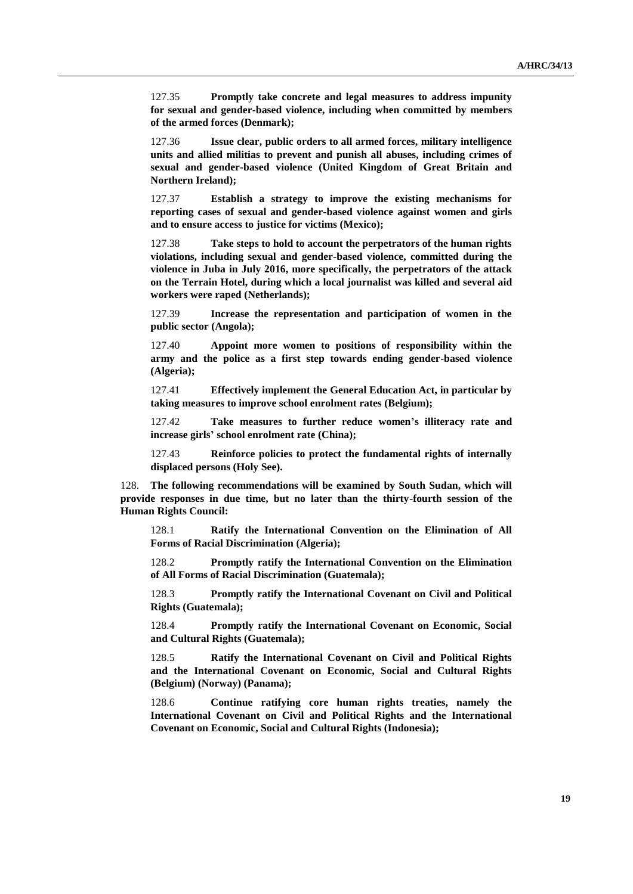127.35 **Promptly take concrete and legal measures to address impunity for sexual and gender-based violence, including when committed by members of the armed forces (Denmark);**

127.36 **Issue clear, public orders to all armed forces, military intelligence units and allied militias to prevent and punish all abuses, including crimes of sexual and gender-based violence (United Kingdom of Great Britain and Northern Ireland);**

127.37 **Establish a strategy to improve the existing mechanisms for reporting cases of sexual and gender-based violence against women and girls and to ensure access to justice for victims (Mexico);**

127.38 **Take steps to hold to account the perpetrators of the human rights violations, including sexual and gender-based violence, committed during the violence in Juba in July 2016, more specifically, the perpetrators of the attack on the Terrain Hotel, during which a local journalist was killed and several aid workers were raped (Netherlands);**

127.39 **Increase the representation and participation of women in the public sector (Angola);**

127.40 **Appoint more women to positions of responsibility within the army and the police as a first step towards ending gender-based violence (Algeria);**

127.41 **Effectively implement the General Education Act, in particular by taking measures to improve school enrolment rates (Belgium);**

127.42 **Take measures to further reduce women's illiteracy rate and increase girls' school enrolment rate (China);**

127.43 **Reinforce policies to protect the fundamental rights of internally displaced persons (Holy See).**

128. **The following recommendations will be examined by South Sudan, which will provide responses in due time, but no later than the thirty-fourth session of the Human Rights Council:**

128.1 **Ratify the International Convention on the Elimination of All Forms of Racial Discrimination (Algeria);**

128.2 **Promptly ratify the International Convention on the Elimination of All Forms of Racial Discrimination (Guatemala);**

128.3 **Promptly ratify the International Covenant on Civil and Political Rights (Guatemala);**

128.4 **Promptly ratify the International Covenant on Economic, Social and Cultural Rights (Guatemala);**

128.5 **Ratify the International Covenant on Civil and Political Rights and the International Covenant on Economic, Social and Cultural Rights (Belgium) (Norway) (Panama);**

128.6 **Continue ratifying core human rights treaties, namely the International Covenant on Civil and Political Rights and the International Covenant on Economic, Social and Cultural Rights (Indonesia);**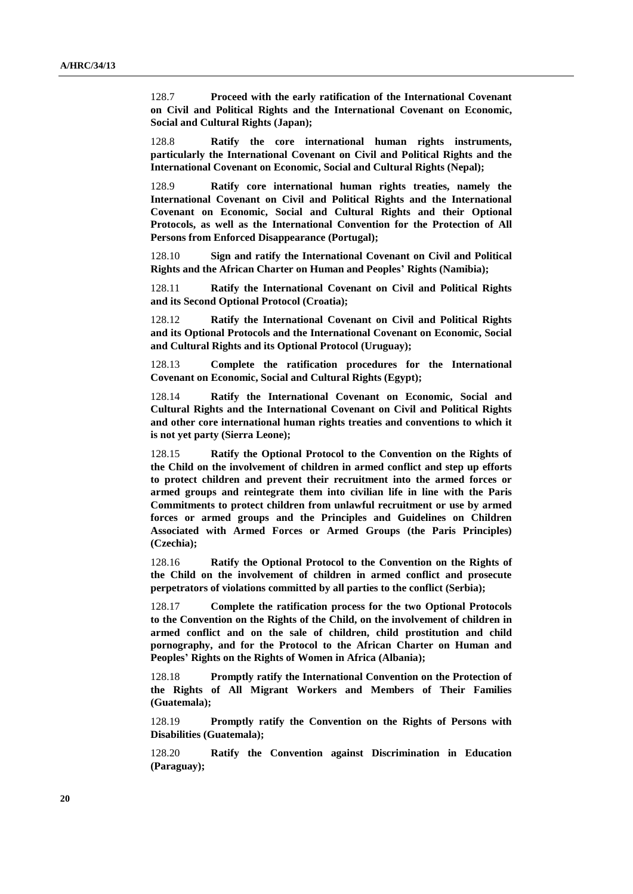128.7 **Proceed with the early ratification of the International Covenant on Civil and Political Rights and the International Covenant on Economic, Social and Cultural Rights (Japan);**

128.8 **Ratify the core international human rights instruments, particularly the International Covenant on Civil and Political Rights and the International Covenant on Economic, Social and Cultural Rights (Nepal);**

128.9 **Ratify core international human rights treaties, namely the International Covenant on Civil and Political Rights and the International Covenant on Economic, Social and Cultural Rights and their Optional Protocols, as well as the International Convention for the Protection of All Persons from Enforced Disappearance (Portugal);**

128.10 **Sign and ratify the International Covenant on Civil and Political Rights and the African Charter on Human and Peoples' Rights (Namibia);**

128.11 **Ratify the International Covenant on Civil and Political Rights and its Second Optional Protocol (Croatia);**

128.12 **Ratify the International Covenant on Civil and Political Rights and its Optional Protocols and the International Covenant on Economic, Social and Cultural Rights and its Optional Protocol (Uruguay);**

128.13 **Complete the ratification procedures for the International Covenant on Economic, Social and Cultural Rights (Egypt);**

128.14 **Ratify the International Covenant on Economic, Social and Cultural Rights and the International Covenant on Civil and Political Rights and other core international human rights treaties and conventions to which it is not yet party (Sierra Leone);**

128.15 **Ratify the Optional Protocol to the Convention on the Rights of the Child on the involvement of children in armed conflict and step up efforts to protect children and prevent their recruitment into the armed forces or armed groups and reintegrate them into civilian life in line with the Paris Commitments to protect children from unlawful recruitment or use by armed forces or armed groups and the Principles and Guidelines on Children Associated with Armed Forces or Armed Groups (the Paris Principles) (Czechia);**

128.16 **Ratify the Optional Protocol to the Convention on the Rights of the Child on the involvement of children in armed conflict and prosecute perpetrators of violations committed by all parties to the conflict (Serbia);**

128.17 **Complete the ratification process for the two Optional Protocols to the Convention on the Rights of the Child, on the involvement of children in armed conflict and on the sale of children, child prostitution and child pornography, and for the Protocol to the African Charter on Human and Peoples' Rights on the Rights of Women in Africa (Albania);**

128.18 **Promptly ratify the International Convention on the Protection of the Rights of All Migrant Workers and Members of Their Families (Guatemala);**

128.19 **Promptly ratify the Convention on the Rights of Persons with Disabilities (Guatemala);**

128.20 **Ratify the Convention against Discrimination in Education (Paraguay);**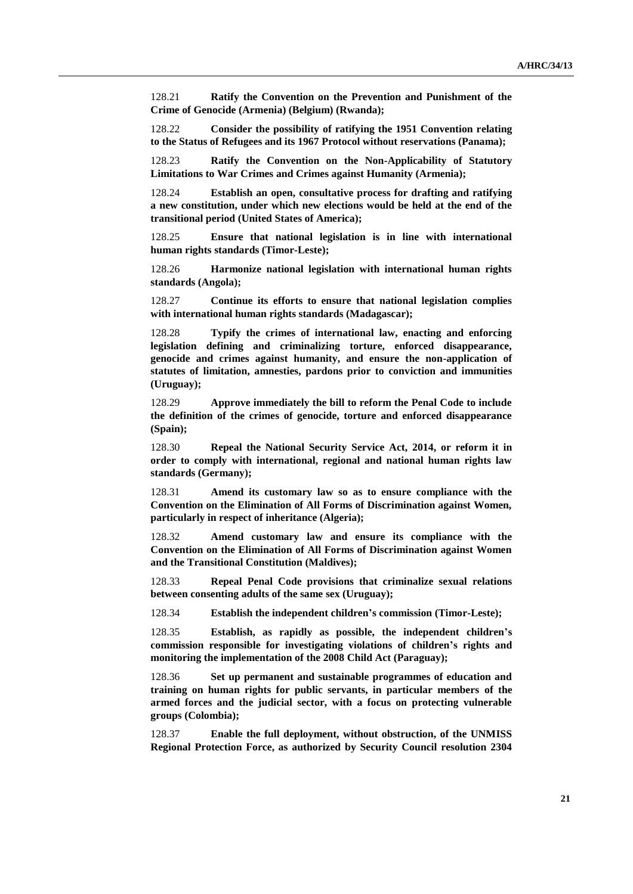128.21 **Ratify the Convention on the Prevention and Punishment of the Crime of Genocide (Armenia) (Belgium) (Rwanda);**

128.22 **Consider the possibility of ratifying the 1951 Convention relating to the Status of Refugees and its 1967 Protocol without reservations (Panama);**

128.23 **Ratify the Convention on the Non-Applicability of Statutory Limitations to War Crimes and Crimes against Humanity (Armenia);**

128.24 **Establish an open, consultative process for drafting and ratifying a new constitution, under which new elections would be held at the end of the transitional period (United States of America);**

128.25 **Ensure that national legislation is in line with international human rights standards (Timor-Leste);**

128.26 **Harmonize national legislation with international human rights standards (Angola);**

128.27 **Continue its efforts to ensure that national legislation complies with international human rights standards (Madagascar);**

128.28 **Typify the crimes of international law, enacting and enforcing legislation defining and criminalizing torture, enforced disappearance, genocide and crimes against humanity, and ensure the non-application of statutes of limitation, amnesties, pardons prior to conviction and immunities (Uruguay);**

128.29 **Approve immediately the bill to reform the Penal Code to include the definition of the crimes of genocide, torture and enforced disappearance (Spain);**

128.30 **Repeal the National Security Service Act, 2014, or reform it in order to comply with international, regional and national human rights law standards (Germany);**

128.31 **Amend its customary law so as to ensure compliance with the Convention on the Elimination of All Forms of Discrimination against Women, particularly in respect of inheritance (Algeria);**

128.32 **Amend customary law and ensure its compliance with the Convention on the Elimination of All Forms of Discrimination against Women and the Transitional Constitution (Maldives);**

128.33 **Repeal Penal Code provisions that criminalize sexual relations between consenting adults of the same sex (Uruguay);**

128.34 **Establish the independent children's commission (Timor-Leste);**

128.35 **Establish, as rapidly as possible, the independent children's commission responsible for investigating violations of children's rights and monitoring the implementation of the 2008 Child Act (Paraguay);**

128.36 **Set up permanent and sustainable programmes of education and training on human rights for public servants, in particular members of the armed forces and the judicial sector, with a focus on protecting vulnerable groups (Colombia);**

128.37 **Enable the full deployment, without obstruction, of the UNMISS Regional Protection Force, as authorized by Security Council resolution 2304**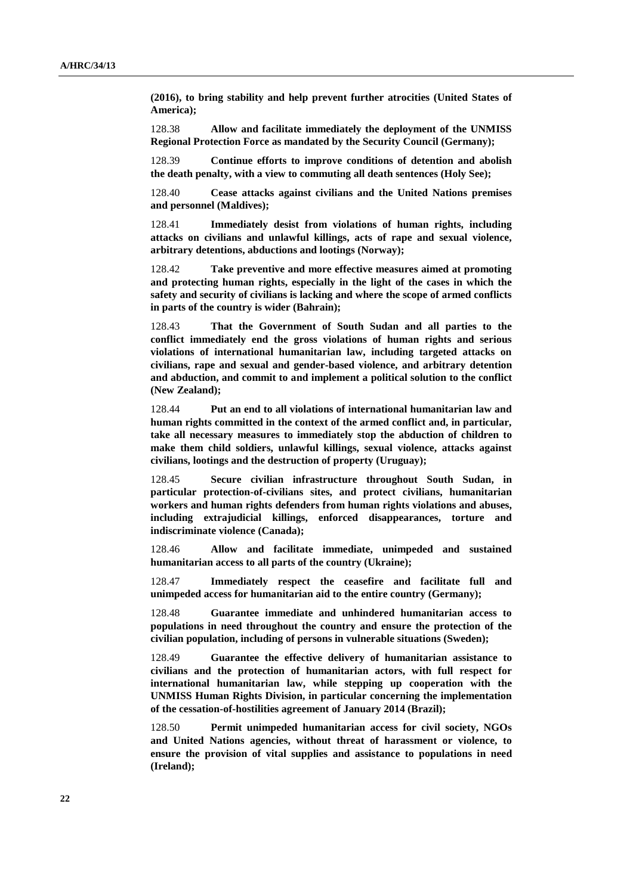**(2016), to bring stability and help prevent further atrocities (United States of America);**

128.38 **Allow and facilitate immediately the deployment of the UNMISS Regional Protection Force as mandated by the Security Council (Germany);**

128.39 **Continue efforts to improve conditions of detention and abolish the death penalty, with a view to commuting all death sentences (Holy See);**

128.40 **Cease attacks against civilians and the United Nations premises and personnel (Maldives);**

128.41 **Immediately desist from violations of human rights, including attacks on civilians and unlawful killings, acts of rape and sexual violence, arbitrary detentions, abductions and lootings (Norway);**

128.42 **Take preventive and more effective measures aimed at promoting and protecting human rights, especially in the light of the cases in which the safety and security of civilians is lacking and where the scope of armed conflicts in parts of the country is wider (Bahrain);**

128.43 **That the Government of South Sudan and all parties to the conflict immediately end the gross violations of human rights and serious violations of international humanitarian law, including targeted attacks on civilians, rape and sexual and gender-based violence, and arbitrary detention and abduction, and commit to and implement a political solution to the conflict (New Zealand);**

128.44 **Put an end to all violations of international humanitarian law and human rights committed in the context of the armed conflict and, in particular, take all necessary measures to immediately stop the abduction of children to make them child soldiers, unlawful killings, sexual violence, attacks against civilians, lootings and the destruction of property (Uruguay);**

128.45 **Secure civilian infrastructure throughout South Sudan, in particular protection-of-civilians sites, and protect civilians, humanitarian workers and human rights defenders from human rights violations and abuses, including extrajudicial killings, enforced disappearances, torture and indiscriminate violence (Canada);**

128.46 **Allow and facilitate immediate, unimpeded and sustained humanitarian access to all parts of the country (Ukraine);**

128.47 **Immediately respect the ceasefire and facilitate full and unimpeded access for humanitarian aid to the entire country (Germany);**

128.48 **Guarantee immediate and unhindered humanitarian access to populations in need throughout the country and ensure the protection of the civilian population, including of persons in vulnerable situations (Sweden);**

128.49 **Guarantee the effective delivery of humanitarian assistance to civilians and the protection of humanitarian actors, with full respect for international humanitarian law, while stepping up cooperation with the UNMISS Human Rights Division, in particular concerning the implementation of the cessation-of-hostilities agreement of January 2014 (Brazil);**

128.50 **Permit unimpeded humanitarian access for civil society, NGOs and United Nations agencies, without threat of harassment or violence, to ensure the provision of vital supplies and assistance to populations in need (Ireland);**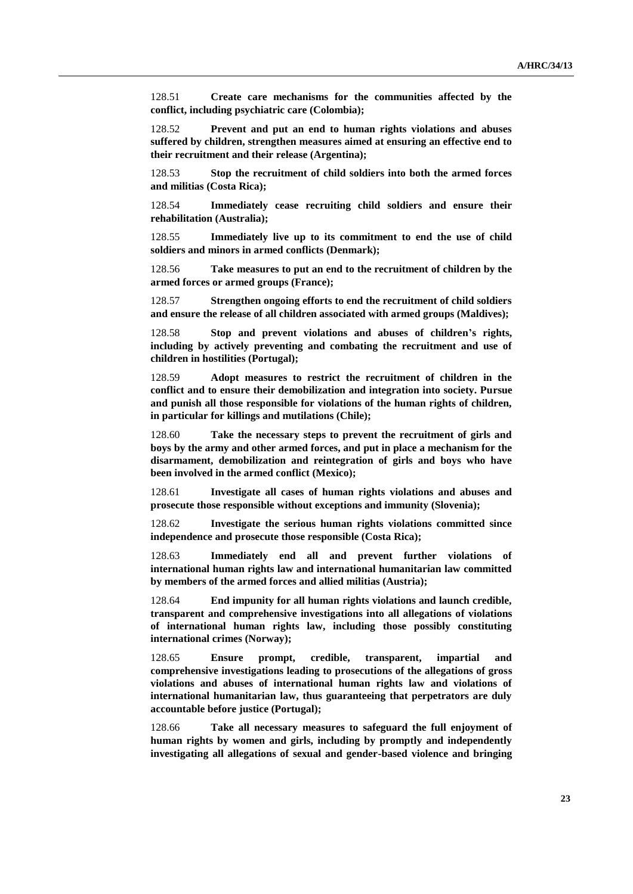128.51 **Create care mechanisms for the communities affected by the conflict, including psychiatric care (Colombia);**

128.52 **Prevent and put an end to human rights violations and abuses suffered by children, strengthen measures aimed at ensuring an effective end to their recruitment and their release (Argentina);**

128.53 **Stop the recruitment of child soldiers into both the armed forces and militias (Costa Rica);**

128.54 **Immediately cease recruiting child soldiers and ensure their rehabilitation (Australia);**

128.55 **Immediately live up to its commitment to end the use of child soldiers and minors in armed conflicts (Denmark);**

128.56 **Take measures to put an end to the recruitment of children by the armed forces or armed groups (France);**

128.57 **Strengthen ongoing efforts to end the recruitment of child soldiers and ensure the release of all children associated with armed groups (Maldives);**

128.58 **Stop and prevent violations and abuses of children's rights, including by actively preventing and combating the recruitment and use of children in hostilities (Portugal);**

128.59 **Adopt measures to restrict the recruitment of children in the conflict and to ensure their demobilization and integration into society. Pursue and punish all those responsible for violations of the human rights of children, in particular for killings and mutilations (Chile);**

128.60 **Take the necessary steps to prevent the recruitment of girls and boys by the army and other armed forces, and put in place a mechanism for the disarmament, demobilization and reintegration of girls and boys who have been involved in the armed conflict (Mexico);**

128.61 **Investigate all cases of human rights violations and abuses and prosecute those responsible without exceptions and immunity (Slovenia);**

128.62 **Investigate the serious human rights violations committed since independence and prosecute those responsible (Costa Rica);**

128.63 **Immediately end all and prevent further violations of international human rights law and international humanitarian law committed by members of the armed forces and allied militias (Austria);**

128.64 **End impunity for all human rights violations and launch credible, transparent and comprehensive investigations into all allegations of violations of international human rights law, including those possibly constituting international crimes (Norway);**

128.65 **Ensure prompt, credible, transparent, impartial and comprehensive investigations leading to prosecutions of the allegations of gross violations and abuses of international human rights law and violations of international humanitarian law, thus guaranteeing that perpetrators are duly accountable before justice (Portugal);**

128.66 **Take all necessary measures to safeguard the full enjoyment of human rights by women and girls, including by promptly and independently investigating all allegations of sexual and gender-based violence and bringing**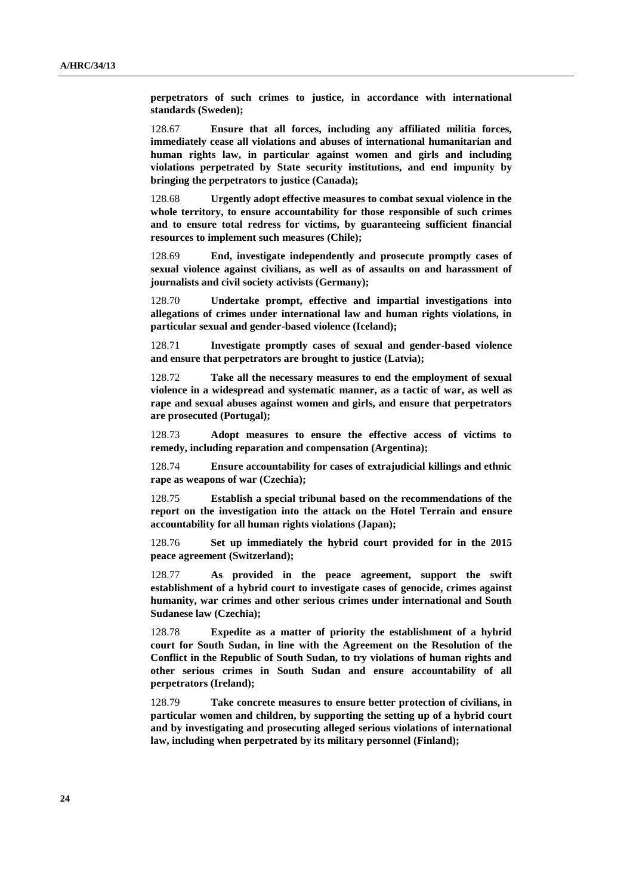**perpetrators of such crimes to justice, in accordance with international standards (Sweden);**

128.67 **Ensure that all forces, including any affiliated militia forces, immediately cease all violations and abuses of international humanitarian and human rights law, in particular against women and girls and including violations perpetrated by State security institutions, and end impunity by bringing the perpetrators to justice (Canada);**

128.68 **Urgently adopt effective measures to combat sexual violence in the whole territory, to ensure accountability for those responsible of such crimes and to ensure total redress for victims, by guaranteeing sufficient financial resources to implement such measures (Chile);**

128.69 **End, investigate independently and prosecute promptly cases of sexual violence against civilians, as well as of assaults on and harassment of journalists and civil society activists (Germany);**

128.70 **Undertake prompt, effective and impartial investigations into allegations of crimes under international law and human rights violations, in particular sexual and gender-based violence (Iceland);**

128.71 **Investigate promptly cases of sexual and gender-based violence and ensure that perpetrators are brought to justice (Latvia);**

128.72 **Take all the necessary measures to end the employment of sexual violence in a widespread and systematic manner, as a tactic of war, as well as rape and sexual abuses against women and girls, and ensure that perpetrators are prosecuted (Portugal);**

128.73 **Adopt measures to ensure the effective access of victims to remedy, including reparation and compensation (Argentina);**

128.74 **Ensure accountability for cases of extrajudicial killings and ethnic rape as weapons of war (Czechia);**

128.75 **Establish a special tribunal based on the recommendations of the report on the investigation into the attack on the Hotel Terrain and ensure accountability for all human rights violations (Japan);**

128.76 **Set up immediately the hybrid court provided for in the 2015 peace agreement (Switzerland);**

128.77 **As provided in the peace agreement, support the swift establishment of a hybrid court to investigate cases of genocide, crimes against humanity, war crimes and other serious crimes under international and South Sudanese law (Czechia);**

128.78 **Expedite as a matter of priority the establishment of a hybrid court for South Sudan, in line with the Agreement on the Resolution of the Conflict in the Republic of South Sudan, to try violations of human rights and other serious crimes in South Sudan and ensure accountability of all perpetrators (Ireland);**

128.79 **Take concrete measures to ensure better protection of civilians, in particular women and children, by supporting the setting up of a hybrid court and by investigating and prosecuting alleged serious violations of international law, including when perpetrated by its military personnel (Finland);**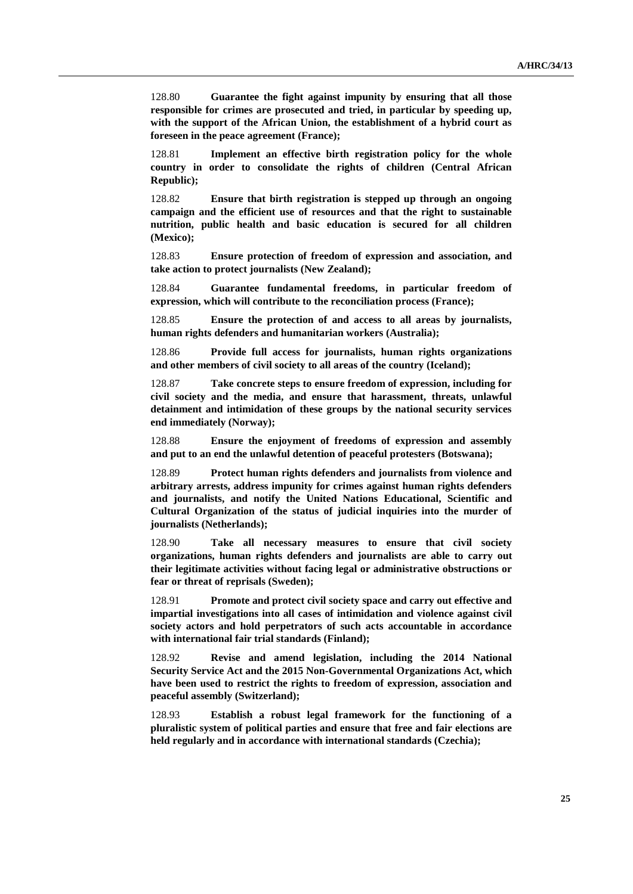128.80 **Guarantee the fight against impunity by ensuring that all those responsible for crimes are prosecuted and tried, in particular by speeding up, with the support of the African Union, the establishment of a hybrid court as foreseen in the peace agreement (France);**

128.81 **Implement an effective birth registration policy for the whole country in order to consolidate the rights of children (Central African Republic);**

128.82 **Ensure that birth registration is stepped up through an ongoing campaign and the efficient use of resources and that the right to sustainable nutrition, public health and basic education is secured for all children (Mexico);**

128.83 **Ensure protection of freedom of expression and association, and take action to protect journalists (New Zealand);**

128.84 **Guarantee fundamental freedoms, in particular freedom of expression, which will contribute to the reconciliation process (France);**

128.85 **Ensure the protection of and access to all areas by journalists, human rights defenders and humanitarian workers (Australia);**

128.86 **Provide full access for journalists, human rights organizations and other members of civil society to all areas of the country (Iceland);**

128.87 **Take concrete steps to ensure freedom of expression, including for civil society and the media, and ensure that harassment, threats, unlawful detainment and intimidation of these groups by the national security services end immediately (Norway);**

128.88 **Ensure the enjoyment of freedoms of expression and assembly and put to an end the unlawful detention of peaceful protesters (Botswana);**

128.89 **Protect human rights defenders and journalists from violence and arbitrary arrests, address impunity for crimes against human rights defenders and journalists, and notify the United Nations Educational, Scientific and Cultural Organization of the status of judicial inquiries into the murder of journalists (Netherlands);**

128.90 **Take all necessary measures to ensure that civil society organizations, human rights defenders and journalists are able to carry out their legitimate activities without facing legal or administrative obstructions or fear or threat of reprisals (Sweden);**

128.91 **Promote and protect civil society space and carry out effective and impartial investigations into all cases of intimidation and violence against civil society actors and hold perpetrators of such acts accountable in accordance with international fair trial standards (Finland);**

128.92 **Revise and amend legislation, including the 2014 National Security Service Act and the 2015 Non-Governmental Organizations Act, which have been used to restrict the rights to freedom of expression, association and peaceful assembly (Switzerland);**

128.93 **Establish a robust legal framework for the functioning of a pluralistic system of political parties and ensure that free and fair elections are held regularly and in accordance with international standards (Czechia);**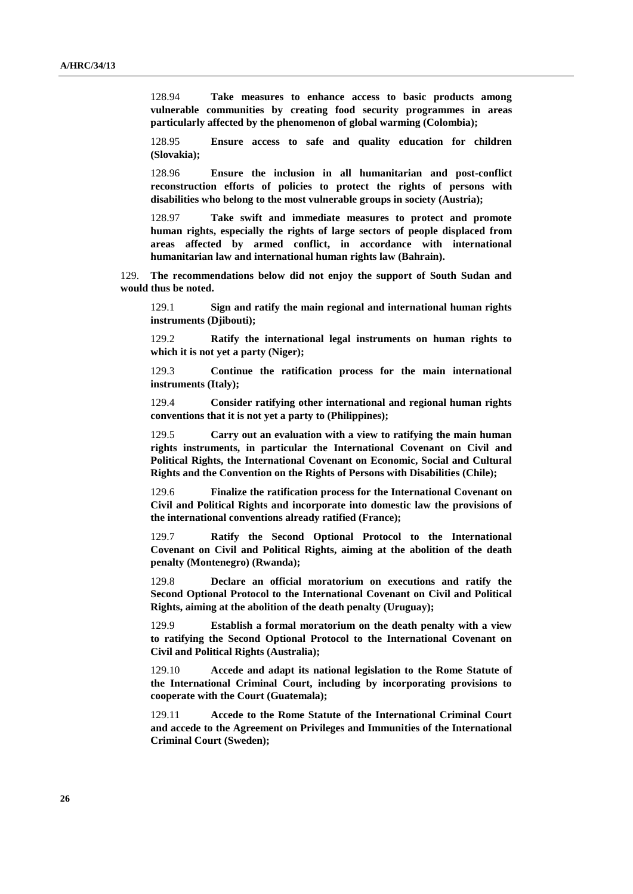128.94 **Take measures to enhance access to basic products among vulnerable communities by creating food security programmes in areas particularly affected by the phenomenon of global warming (Colombia);**

128.95 **Ensure access to safe and quality education for children (Slovakia);**

128.96 **Ensure the inclusion in all humanitarian and post-conflict reconstruction efforts of policies to protect the rights of persons with disabilities who belong to the most vulnerable groups in society (Austria);**

128.97 **Take swift and immediate measures to protect and promote human rights, especially the rights of large sectors of people displaced from areas affected by armed conflict, in accordance with international humanitarian law and international human rights law (Bahrain).**

129. **The recommendations below did not enjoy the support of South Sudan and would thus be noted.**

129.1 **Sign and ratify the main regional and international human rights instruments (Djibouti);**

129.2 **Ratify the international legal instruments on human rights to which it is not yet a party (Niger);**

129.3 **Continue the ratification process for the main international instruments (Italy);**

129.4 **Consider ratifying other international and regional human rights conventions that it is not yet a party to (Philippines);**

129.5 **Carry out an evaluation with a view to ratifying the main human rights instruments, in particular the International Covenant on Civil and Political Rights, the International Covenant on Economic, Social and Cultural Rights and the Convention on the Rights of Persons with Disabilities (Chile);**

129.6 **Finalize the ratification process for the International Covenant on Civil and Political Rights and incorporate into domestic law the provisions of the international conventions already ratified (France);**

129.7 **Ratify the Second Optional Protocol to the International Covenant on Civil and Political Rights, aiming at the abolition of the death penalty (Montenegro) (Rwanda);**

129.8 **Declare an official moratorium on executions and ratify the Second Optional Protocol to the International Covenant on Civil and Political Rights, aiming at the abolition of the death penalty (Uruguay);**

129.9 **Establish a formal moratorium on the death penalty with a view to ratifying the Second Optional Protocol to the International Covenant on Civil and Political Rights (Australia);**

129.10 **Accede and adapt its national legislation to the Rome Statute of the International Criminal Court, including by incorporating provisions to cooperate with the Court (Guatemala);**

129.11 **Accede to the Rome Statute of the International Criminal Court and accede to the Agreement on Privileges and Immunities of the International Criminal Court (Sweden);**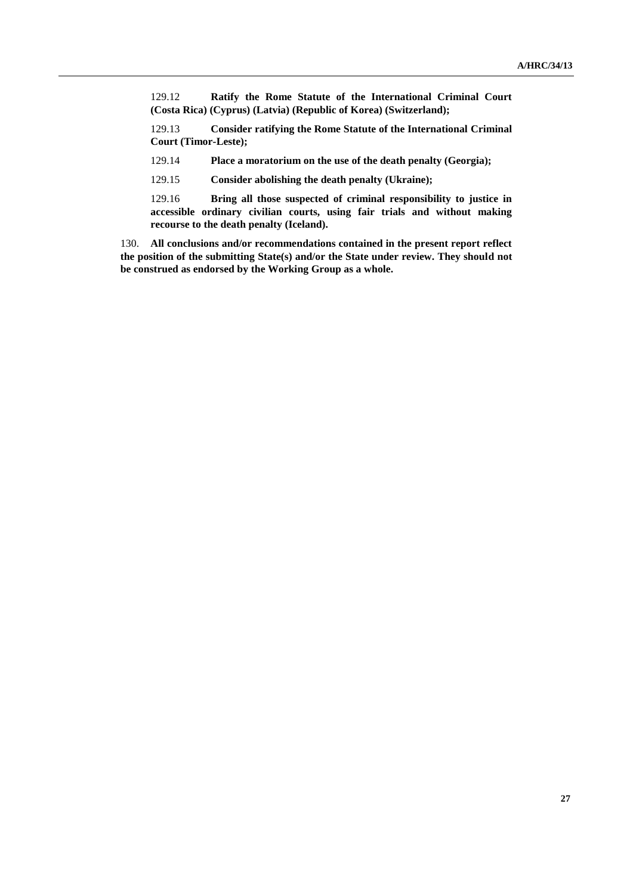129.12 **Ratify the Rome Statute of the International Criminal Court (Costa Rica) (Cyprus) (Latvia) (Republic of Korea) (Switzerland);**

129.13 **Consider ratifying the Rome Statute of the International Criminal Court (Timor-Leste);**

129.14 **Place a moratorium on the use of the death penalty (Georgia);**

129.15 **Consider abolishing the death penalty (Ukraine);**

129.16 **Bring all those suspected of criminal responsibility to justice in accessible ordinary civilian courts, using fair trials and without making recourse to the death penalty (Iceland).**

130. **All conclusions and/or recommendations contained in the present report reflect the position of the submitting State(s) and/or the State under review. They should not be construed as endorsed by the Working Group as a whole.**